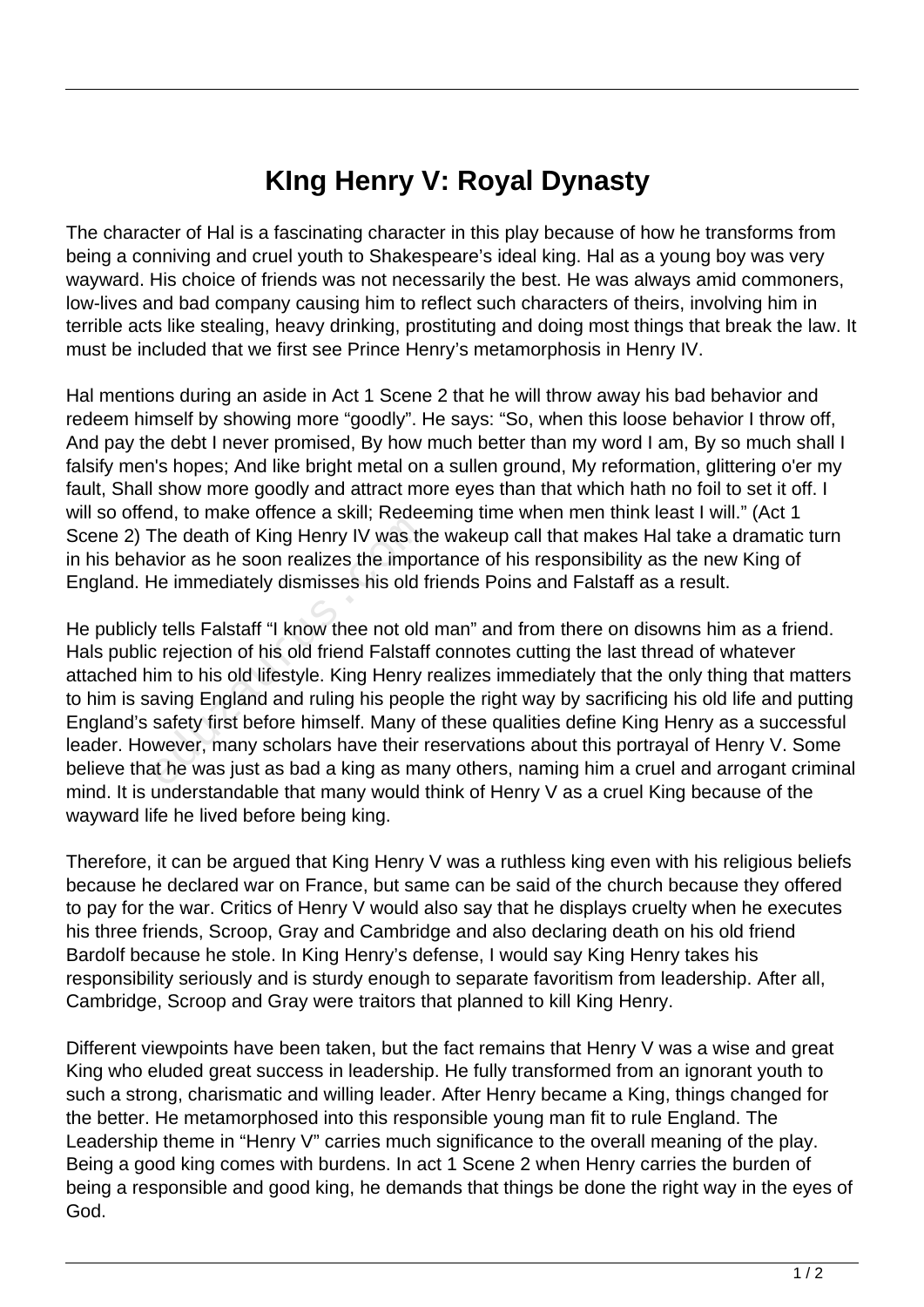## **KIng Henry V: Royal Dynasty**

The character of Hal is a fascinating character in this play because of how he transforms from being a conniving and cruel youth to Shakespeare's ideal king. Hal as a young boy was very wayward. His choice of friends was not necessarily the best. He was always amid commoners, low-lives and bad company causing him to reflect such characters of theirs, involving him in terrible acts like stealing, heavy drinking, prostituting and doing most things that break the law. It must be included that we first see Prince Henry's metamorphosis in Henry IV.

Hal mentions during an aside in Act 1 Scene 2 that he will throw away his bad behavior and redeem himself by showing more "goodly". He says: "So, when this loose behavior I throw off, And pay the debt I never promised, By how much better than my word I am, By so much shall I falsify men's hopes; And like bright metal on a sullen ground, My reformation, glittering o'er my fault, Shall show more goodly and attract more eyes than that which hath no foil to set it off. I will so offend, to make offence a skill; Redeeming time when men think least I will." (Act 1 Scene 2) The death of King Henry IV was the wakeup call that makes Hal take a dramatic turn in his behavior as he soon realizes the importance of his responsibility as the new King of England. He immediately dismisses his old friends Poins and Falstaff as a result.

He publicly tells Falstaff "I know thee not old man" and from there on disowns him as a friend. Hals public rejection of his old friend Falstaff connotes cutting the last thread of whatever attached him to his old lifestyle. King Henry realizes immediately that the only thing that matters to him is saving England and ruling his people the right way by sacrificing his old life and putting England's safety first before himself. Many of these qualities define King Henry as a successful leader. However, many scholars have their reservations about this portrayal of Henry V. Some believe that he was just as bad a king as many others, naming him a cruel and arrogant criminal mind. It is understandable that many would think of Henry V as a cruel King because of the wayward life he lived before being king. The death of King Henry IV was the<br>wior as he soon realizes the impo<br>de immediately dismisses his old f<br>y tells Falstaff "I know thee not old<br>c rejection of his old friend Falstaff<br>im to his old lifestyle. King Henry<br>aving

Therefore, it can be argued that King Henry V was a ruthless king even with his religious beliefs because he declared war on France, but same can be said of the church because they offered to pay for the war. Critics of Henry V would also say that he displays cruelty when he executes his three friends, Scroop, Gray and Cambridge and also declaring death on his old friend Bardolf because he stole. In King Henry's defense, I would say King Henry takes his responsibility seriously and is sturdy enough to separate favoritism from leadership. After all, Cambridge, Scroop and Gray were traitors that planned to kill King Henry.

Different viewpoints have been taken, but the fact remains that Henry V was a wise and great King who eluded great success in leadership. He fully transformed from an ignorant youth to such a strong, charismatic and willing leader. After Henry became a King, things changed for the better. He metamorphosed into this responsible young man fit to rule England. The Leadership theme in "Henry V" carries much significance to the overall meaning of the play. Being a good king comes with burdens. In act 1 Scene 2 when Henry carries the burden of being a responsible and good king, he demands that things be done the right way in the eyes of God.